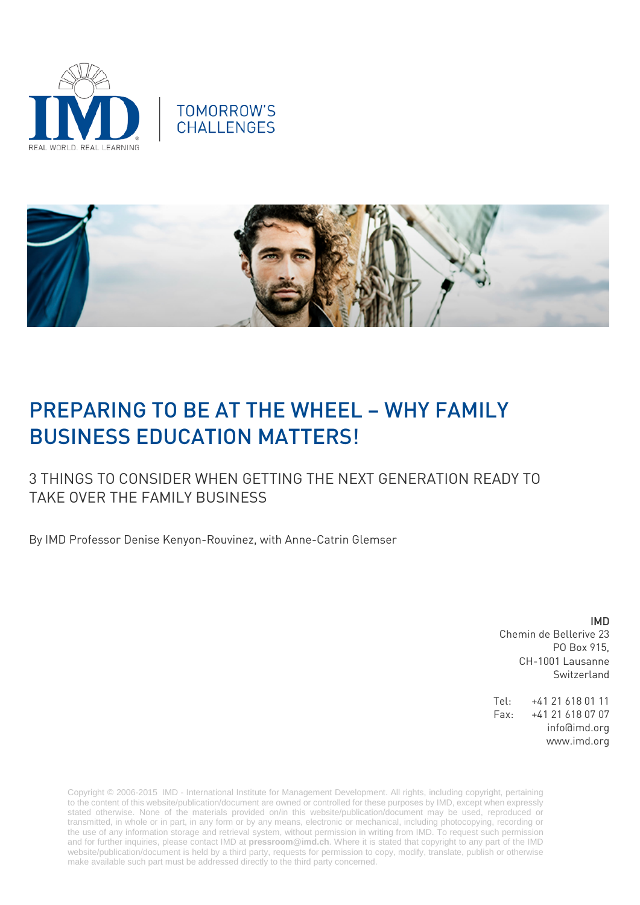





# PREPARING TO BE AT THE WHEEL – WHY FAMILY BUSINESS EDUCATION MATTERS!

# 3 THINGS TO CONSIDER WHEN GETTING THE NEXT GENERATION READY TO TAKE OVER THE FAMILY BUSINESS

By IMD Professor Denise Kenyon-Rouvinez, with Anne-Catrin Glemser

IMD Chemin de Bellerive 23 PO Box 915, CH-1001 Lausanne Switzerland

Tel: +41 21 618 01 11 Fax: +41 21 618 07 07 info@imd.org www.imd.org

Copyright © 2006-2015 IMD - International Institute for Management Development. All rights, including copyright, pertaining to the content of this website/publication/document are owned or controlled for these purposes by IMD, except when expressly stated otherwise. None of the materials provided on/in this website/publication/document may be used, reproduced or transmitted, in whole or in part, in any form or by any means, electronic or mechanical, including photocopying, recording or the use of any information storage and retrieval system, without permission in writing from IMD. To request such permission and for further inquiries, please contact IMD at **[pressroom@imd.ch](mailto:pressroom@imd.ch)**. Where it is stated that copyright to any part of the IMD website/publication/document is held by a third party, requests for permission to copy, modify, translate, publish or otherwise make available such part must be addressed directly to the third party concerned.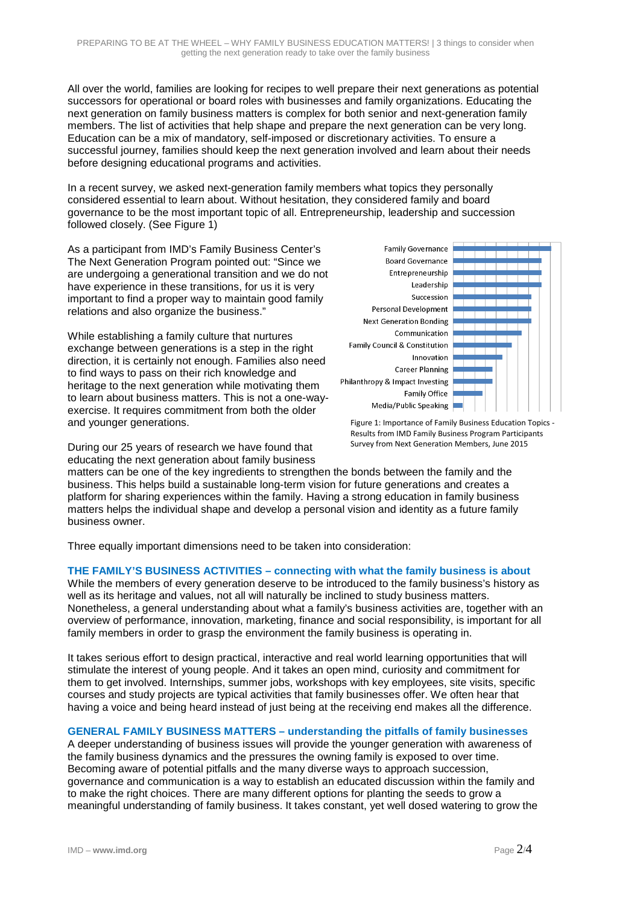All over the world, families are looking for recipes to well prepare their next generations as potential successors for operational or board roles with businesses and family organizations. Educating the next generation on family business matters is complex for both senior and next-generation family members. The list of activities that help shape and prepare the next generation can be very long. Education can be a mix of mandatory, self-imposed or discretionary activities. To ensure a successful journey, families should keep the next generation involved and learn about their needs before designing educational programs and activities.

In a recent survey, we asked next-generation family members what topics they personally considered essential to learn about. Without hesitation, they considered family and board governance to be the most important topic of all. Entrepreneurship, leadership and succession followed closely. (See Figure 1)

As a participant from IMD's Family Business Center's The Next Generation Program pointed out: "Since we are undergoing a generational transition and we do not have experience in these transitions, for us it is very important to find a proper way to maintain good family relations and also organize the business."

While establishing a family culture that nurtures exchange between generations is a step in the right direction, it is certainly not enough. Families also need to find ways to pass on their rich knowledge and heritage to the next generation while motivating them to learn about business matters. This is not a one-wayexercise. It requires commitment from both the older and younger generations.



Results from IMD Family Business Program Participants Survey from Next Generation Members, June 2015

During our 25 years of research we have found that educating the next generation about family business

matters can be one of the key ingredients to strengthen the bonds between the family and the business. This helps build a sustainable long-term vision for future generations and creates a platform for sharing experiences within the family. Having a strong education in family business matters helps the individual shape and develop a personal vision and identity as a future family business owner.

Three equally important dimensions need to be taken into consideration:

### **THE FAMILY'S BUSINESS ACTIVITIES – connecting with what the family business is about**

While the members of every generation deserve to be introduced to the family business's history as well as its heritage and values, not all will naturally be inclined to study business matters. Nonetheless, a general understanding about what a family's business activities are, together with an overview of performance, innovation, marketing, finance and social responsibility, is important for all family members in order to grasp the environment the family business is operating in.

It takes serious effort to design practical, interactive and real world learning opportunities that will stimulate the interest of young people. And it takes an open mind, curiosity and commitment for them to get involved. Internships, summer jobs, workshops with key employees, site visits, specific courses and study projects are typical activities that family businesses offer. We often hear that having a voice and being heard instead of just being at the receiving end makes all the difference.

#### **GENERAL FAMILY BUSINESS MATTERS – understanding the pitfalls of family businesses**

A deeper understanding of business issues will provide the younger generation with awareness of the family business dynamics and the pressures the owning family is exposed to over time. Becoming aware of potential pitfalls and the many diverse ways to approach succession, governance and communication is a way to establish an educated discussion within the family and to make the right choices. There are many different options for planting the seeds to grow a meaningful understanding of family business. It takes constant, yet well dosed watering to grow the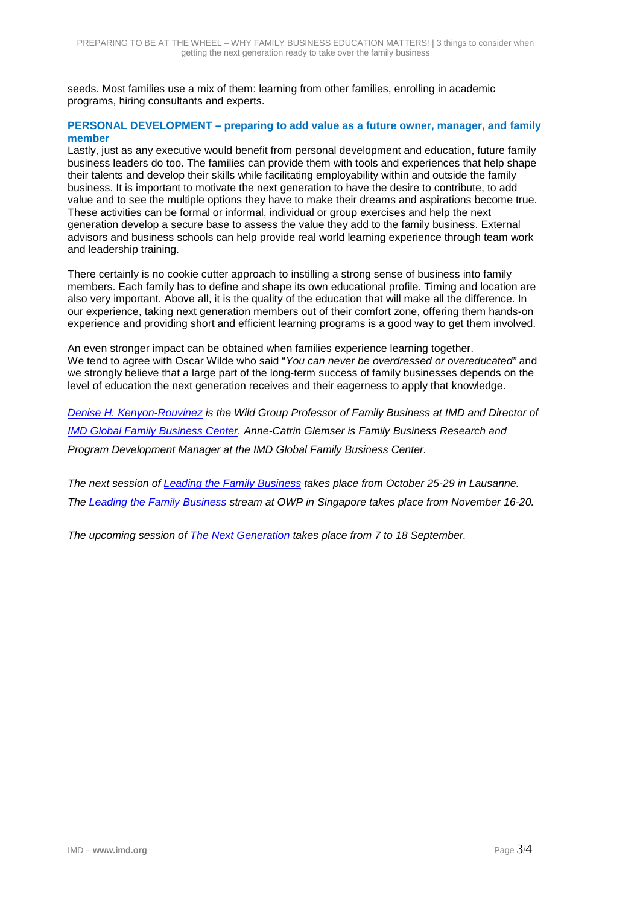seeds. Most families use a mix of them: learning from other families, enrolling in academic programs, hiring consultants and experts.

#### **PERSONAL DEVELOPMENT – preparing to add value as a future owner, manager, and family member**

Lastly, just as any executive would benefit from personal development and education, future family business leaders do too. The families can provide them with tools and experiences that help shape their talents and develop their skills while facilitating employability within and outside the family business. It is important to motivate the next generation to have the desire to contribute, to add value and to see the multiple options they have to make their dreams and aspirations become true. These activities can be formal or informal, individual or group exercises and help the next generation develop a secure base to assess the value they add to the family business. External advisors and business schools can help provide real world learning experience through team work and leadership training.

There certainly is no cookie cutter approach to instilling a strong sense of business into family members. Each family has to define and shape its own educational profile. Timing and location are also very important. Above all, it is the quality of the education that will make all the difference. In our experience, taking next generation members out of their comfort zone, offering them hands-on experience and providing short and efficient learning programs is a good way to get them involved.

An even stronger impact can be obtained when families experience learning together. We tend to agree with Oscar Wilde who said "*You can never be overdressed or overeducated"* and we strongly believe that a large part of the long-term success of family businesses depends on the level of education the next generation receives and their eagerness to apply that knowledge.

*[Denise H. Kenyon-Rouvinez](http://www.imd.org/about/facultystaff/Kenyon-Rouvinez.cfm) is the Wild Group Professor of Family Business at IMD and Director of [IMD Global Family Business Center.](http://www.imd.org/research-knowledge/global-centers/family-business/%23/home/) Anne-Catrin Glemser is Family Business Research and Program Development Manager at the IMD Global Family Business Center.*

*The next session of [Leading the Family Business](http://www.imd.org/executive-education/lfb/leading-family-business/description-dates-fees/) takes place from October 25-29 in Lausanne. The [Leading the Family Business](http://www.imd.org/executive-education/lfb/leading-family-business/description-dates-fees/) stream at OWP in Singapore takes place from November 16-20.* 

*The upcoming session of [The Next Generation](http://www.imd.org/executive-education/tng/next-generation/description-dates-fees/) takes place from 7 to 18 September.*